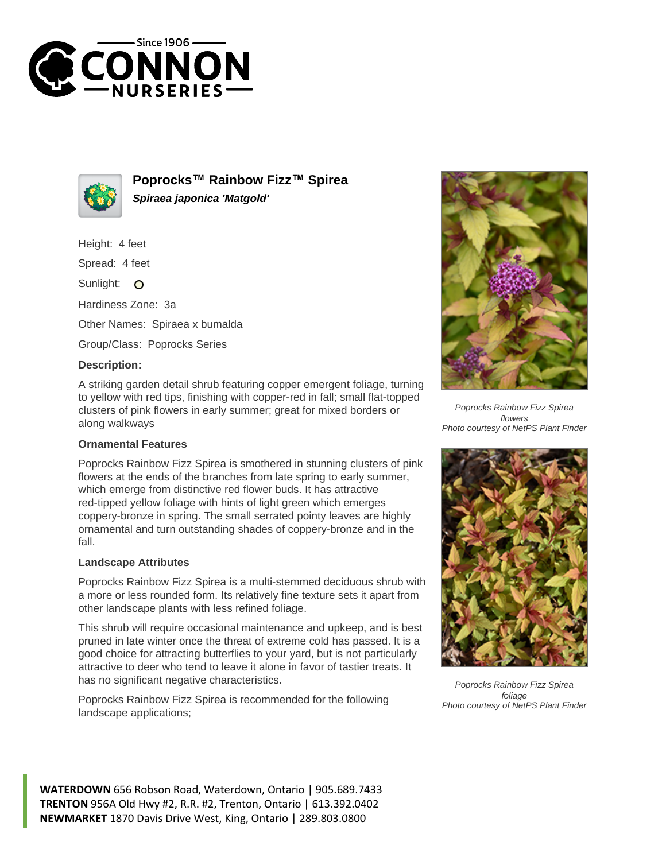



**Poprocks™ Rainbow Fizz™ Spirea Spiraea japonica 'Matgold'**

Height: 4 feet

Spread: 4 feet

Sunlight: O

Hardiness Zone: 3a

Other Names: Spiraea x bumalda

Group/Class: Poprocks Series

## **Description:**

A striking garden detail shrub featuring copper emergent foliage, turning to yellow with red tips, finishing with copper-red in fall; small flat-topped clusters of pink flowers in early summer; great for mixed borders or along walkways

## **Ornamental Features**

Poprocks Rainbow Fizz Spirea is smothered in stunning clusters of pink flowers at the ends of the branches from late spring to early summer, which emerge from distinctive red flower buds. It has attractive red-tipped yellow foliage with hints of light green which emerges coppery-bronze in spring. The small serrated pointy leaves are highly ornamental and turn outstanding shades of coppery-bronze and in the fall.

## **Landscape Attributes**

Poprocks Rainbow Fizz Spirea is a multi-stemmed deciduous shrub with a more or less rounded form. Its relatively fine texture sets it apart from other landscape plants with less refined foliage.

This shrub will require occasional maintenance and upkeep, and is best pruned in late winter once the threat of extreme cold has passed. It is a good choice for attracting butterflies to your yard, but is not particularly attractive to deer who tend to leave it alone in favor of tastier treats. It has no significant negative characteristics.

Poprocks Rainbow Fizz Spirea is recommended for the following landscape applications;



Poprocks Rainbow Fizz Spirea flowers Photo courtesy of NetPS Plant Finder



Poprocks Rainbow Fizz Spirea foliage Photo courtesy of NetPS Plant Finder

**WATERDOWN** 656 Robson Road, Waterdown, Ontario | 905.689.7433 **TRENTON** 956A Old Hwy #2, R.R. #2, Trenton, Ontario | 613.392.0402 **NEWMARKET** 1870 Davis Drive West, King, Ontario | 289.803.0800